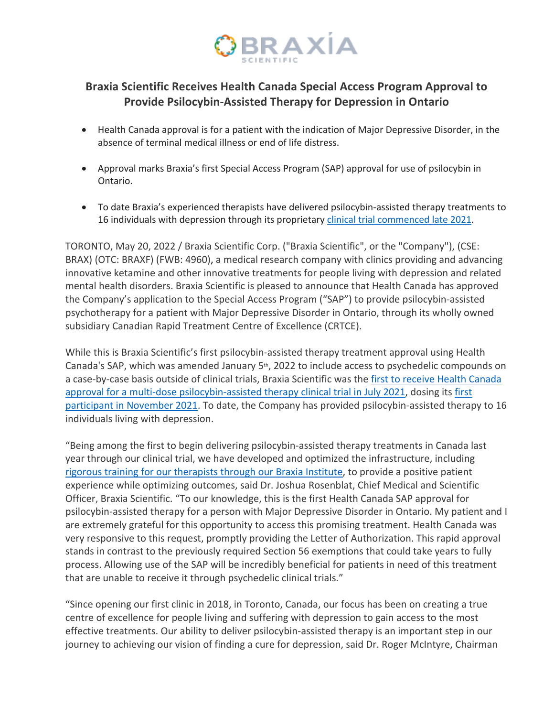

## **Braxia Scientific Receives Health Canada Special Access Program Approval to Provide Psilocybin-Assisted Therapy for Depression in Ontario**

- Health Canada approval is for a patient with the indication of Major Depressive Disorder, in the absence of terminal medical illness or end of life distress.
- Approval marks Braxia's first Special Access Program (SAP) approval for use of psilocybin in Ontario.
- To date Braxia's experienced therapists have delivered psilocybin-assisted therapy treatments to 16 individuals with depression through its proprietary clinical trial commenced late 2021.

TORONTO, May 20, 2022 / Braxia Scientific Corp. ("Braxia Scientific", or the "Company"), (CSE: BRAX) (OTC: BRAXF) (FWB: 4960), a medical research company with clinics providing and advancing innovative ketamine and other innovative treatments for people living with depression and related mental health disorders. Braxia Scientific is pleased to announce that Health Canada has approved the Company's application to the Special Access Program ("SAP") to provide psilocybin-assisted psychotherapy for a patient with Major Depressive Disorder in Ontario, through its wholly owned subsidiary Canadian Rapid Treatment Centre of Excellence (CRTCE).

While this is Braxia Scientific's first psilocybin-assisted therapy treatment approval using Health Canada's SAP, which was amended January 5th, 2022 to include access to psychedelic compounds on a case-by-case basis outside of clinical trials, Braxia Scientific was the first to receive Health Canada approval for a multi-dose psilocybin-assisted therapy clinical trial in July 2021, dosing its first participant in November 2021. To date, the Company has provided psilocybin-assisted therapy to 16 individuals living with depression.

"Being among the first to begin delivering psilocybin-assisted therapy treatments in Canada last year through our clinical trial, we have developed and optimized the infrastructure, including rigorous training for our therapists through our Braxia Institute, to provide a positive patient experience while optimizing outcomes, said Dr. Joshua Rosenblat, Chief Medical and Scientific Officer, Braxia Scientific. "To our knowledge, this is the first Health Canada SAP approval for psilocybin-assisted therapy for a person with Major Depressive Disorder in Ontario. My patient and I are extremely grateful for this opportunity to access this promising treatment. Health Canada was very responsive to this request, promptly providing the Letter of Authorization. This rapid approval stands in contrast to the previously required Section 56 exemptions that could take years to fully process. Allowing use of the SAP will be incredibly beneficial for patients in need of this treatment that are unable to receive it through psychedelic clinical trials."

"Since opening our first clinic in 2018, in Toronto, Canada, our focus has been on creating a true centre of excellence for people living and suffering with depression to gain access to the most effective treatments. Our ability to deliver psilocybin-assisted therapy is an important step in our journey to achieving our vision of finding a cure for depression, said Dr. Roger McIntyre, Chairman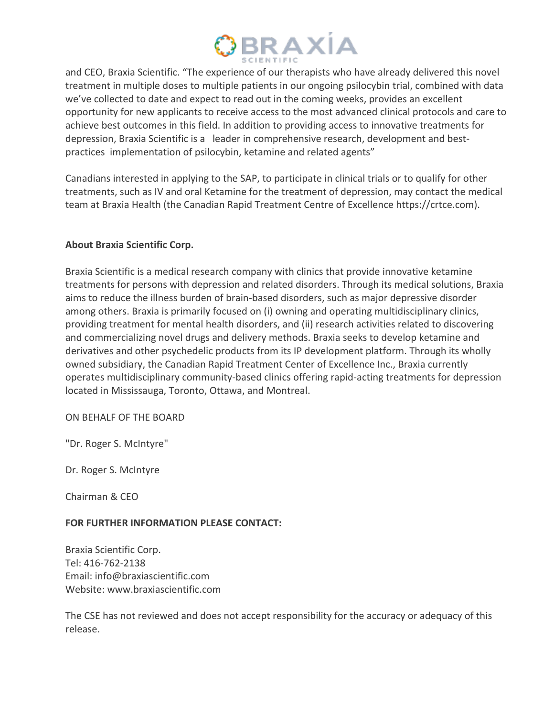

and CEO, Braxia Scientific. "The experience of our therapists who have already delivered this novel treatment in multiple doses to multiple patients in our ongoing psilocybin trial, combined with data we've collected to date and expect to read out in the coming weeks, provides an excellent opportunity for new applicants to receive access to the most advanced clinical protocols and care to achieve best outcomes in this field. In addition to providing access to innovative treatments for depression, Braxia Scientific is a leader in comprehensive research, development and bestpractices implementation of psilocybin, ketamine and related agents"

Canadians interested in applying to the SAP, to participate in clinical trials or to qualify for other treatments, such as IV and oral Ketamine for the treatment of depression, may contact the medical team at Braxia Health (the Canadian Rapid Treatment Centre of Excellence https://crtce.com).

### **About Braxia Scientific Corp.**

Braxia Scientific is a medical research company with clinics that provide innovative ketamine treatments for persons with depression and related disorders. Through its medical solutions, Braxia aims to reduce the illness burden of brain-based disorders, such as major depressive disorder among others. Braxia is primarily focused on (i) owning and operating multidisciplinary clinics, providing treatment for mental health disorders, and (ii) research activities related to discovering and commercializing novel drugs and delivery methods. Braxia seeks to develop ketamine and derivatives and other psychedelic products from its IP development platform. Through its wholly owned subsidiary, the Canadian Rapid Treatment Center of Excellence Inc., Braxia currently operates multidisciplinary community-based clinics offering rapid-acting treatments for depression located in Mississauga, Toronto, Ottawa, and Montreal.

ON BEHALF OF THE BOARD

"Dr. Roger S. McIntyre"

Dr. Roger S. McIntyre

Chairman & CEO

### **FOR FURTHER INFORMATION PLEASE CONTACT:**

Braxia Scientific Corp. Tel: 416-762-2138 Email: info@braxiascientific.com Website: www.braxiascientific.com

The CSE has not reviewed and does not accept responsibility for the accuracy or adequacy of this release.